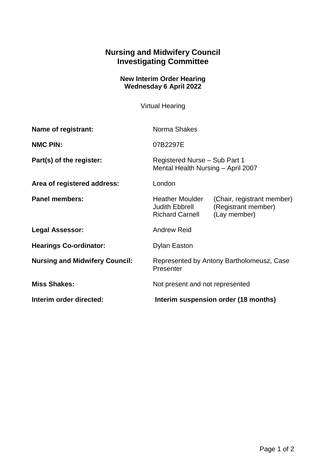## **Nursing and Midwifery Council Investigating Committee**

## **New Interim Order Hearing Wednesday 6 April 2022**

Virtual Hearing

| Name of registrant:                   | Norma Shakes                                                        |                                                                   |
|---------------------------------------|---------------------------------------------------------------------|-------------------------------------------------------------------|
| <b>NMC PIN:</b>                       | 07B2297E                                                            |                                                                   |
| Part(s) of the register:              | Registered Nurse - Sub Part 1<br>Mental Health Nursing - April 2007 |                                                                   |
| Area of registered address:           | London                                                              |                                                                   |
| <b>Panel members:</b>                 | <b>Heather Moulder</b><br>Judith Ebbrell<br><b>Richard Carnell</b>  | (Chair, registrant member)<br>(Registrant member)<br>(Lay member) |
| <b>Legal Assessor:</b>                | <b>Andrew Reid</b>                                                  |                                                                   |
| <b>Hearings Co-ordinator:</b>         | <b>Dylan Easton</b>                                                 |                                                                   |
| <b>Nursing and Midwifery Council:</b> | Represented by Antony Bartholomeusz, Case<br>Presenter              |                                                                   |
| <b>Miss Shakes:</b>                   | Not present and not represented                                     |                                                                   |
| Interim order directed:               | Interim suspension order (18 months)                                |                                                                   |